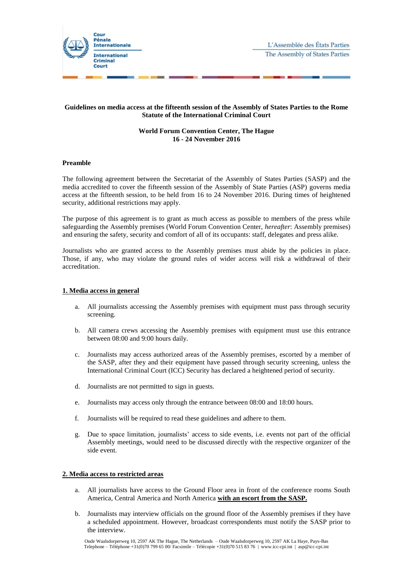

# **Guidelines on media access at the fifteenth session of the Assembly of States Parties to the Rome Statute of the International Criminal Court**

## **World Forum Convention Center, The Hague 16 - 24 November 2016**

### **Preamble**

The following agreement between the Secretariat of the Assembly of States Parties (SASP) and the media accredited to cover the fifteenth session of the Assembly of State Parties (ASP) governs media access at the fifteenth session, to be held from 16 to 24 November 2016. During times of heightened security, additional restrictions may apply.

The purpose of this agreement is to grant as much access as possible to members of the press while safeguarding the Assembly premises (World Forum Convention Center, *hereafter*: Assembly premises) and ensuring the safety, security and comfort of all of its occupants: staff, delegates and press alike.

Journalists who are granted access to the Assembly premises must abide by the policies in place. Those, if any, who may violate the ground rules of wider access will risk a withdrawal of their accreditation.

## **1. Media access in general**

- a. All journalists accessing the Assembly premises with equipment must pass through security screening.
- b. All camera crews accessing the Assembly premises with equipment must use this entrance between 08:00 and 9:00 hours daily.
- c. Journalists may access authorized areas of the Assembly premises, escorted by a member of the SASP, after they and their equipment have passed through security screening, unless the International Criminal Court (ICC) Security has declared a heightened period of security.
- d. Journalists are not permitted to sign in guests.
- e. Journalists may access only through the entrance between 08:00 and 18:00 hours.
- f. Journalists will be required to read these guidelines and adhere to them.
- g. Due to space limitation, journalists' access to side events, i.e. events not part of the official Assembly meetings, would need to be discussed directly with the respective organizer of the side event.

## **2. Media access to restricted areas**

- a. All journalists have access to the Ground Floor area in front of the conference rooms South America, Central America and North America **with an escort from the SASP.**
- b. Journalists may interview officials on the ground floor of the Assembly premises if they have a scheduled appointment. However, broadcast correspondents must notify the SASP prior to the interview.

Oude Waalsdorperweg 10, 2597 AK The Hague, The Netherlands – Oude Waalsdorperweg 10, 2597 AK La Haye, Pays-Bas Telephone – Téléphone +31(0)70 799 65 00/ Facsimile – Télécopie +31(0)70 515 83 76 | www.icc-cpi.int | asp@icc-cpi.int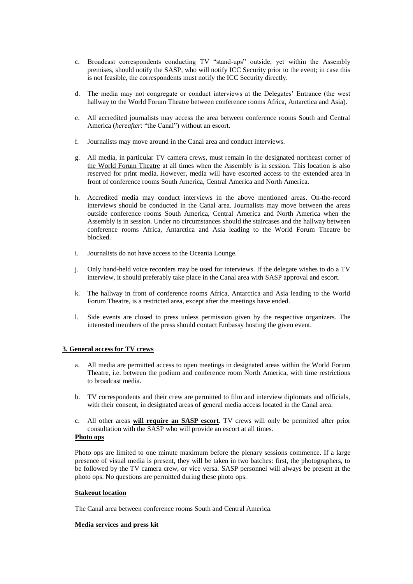- c. Broadcast correspondents conducting TV "stand-ups" outside, yet within the Assembly premises, should notify the SASP, who will notify ICC Security prior to the event; in case this is not feasible, the correspondents must notify the ICC Security directly.
- d. The media may not congregate or conduct interviews at the Delegates' Entrance (the west hallway to the World Forum Theatre between conference rooms Africa, Antarctica and Asia).
- e. All accredited journalists may access the area between conference rooms South and Central America (*hereafter*: "the Canal") without an escort.
- f. Journalists may move around in the Canal area and conduct interviews.
- g. All media, in particular TV camera crews, must remain in the designated northeast corner of the World Forum Theatre at all times when the Assembly is in session. This location is also reserved for print media. However, media will have escorted access to the extended area in front of conference rooms South America, Central America and North America.
- h. Accredited media may conduct interviews in the above mentioned areas. On-the-record interviews should be conducted in the Canal area. Journalists may move between the areas outside conference rooms South America, Central America and North America when the Assembly is in session. Under no circumstances should the staircases and the hallway between conference rooms Africa, Antarctica and Asia leading to the World Forum Theatre be blocked.
- i. Journalists do not have access to the Oceania Lounge.
- j. Only hand-held voice recorders may be used for interviews. If the delegate wishes to do a TV interview, it should preferably take place in the Canal area with SASP approval and escort.
- k. The hallway in front of conference rooms Africa, Antarctica and Asia leading to the World Forum Theatre, is a restricted area, except after the meetings have ended.
- l. Side events are closed to press unless permission given by the respective organizers. The interested members of the press should contact Embassy hosting the given event.

# **3. General access for TV crews**

- a. All media are permitted access to open meetings in designated areas within the World Forum Theatre, i.e. between the podium and conference room North America, with time restrictions to broadcast media.
- b. TV correspondents and their crew are permitted to film and interview diplomats and officials, with their consent, in designated areas of general media access located in the Canal area.
- c. All other areas **will require an SASP escort**. TV crews will only be permitted after prior consultation with the SASP who will provide an escort at all times.

# **Photo ops**

Photo ops are limited to one minute maximum before the plenary sessions commence. If a large presence of visual media is present, they will be taken in two batches: first, the photographers, to be followed by the TV camera crew, or vice versa. SASP personnel will always be present at the photo ops. No questions are permitted during these photo ops.

#### **Stakeout location**

The Canal area between conference rooms South and Central America.

#### **Media services and press kit**